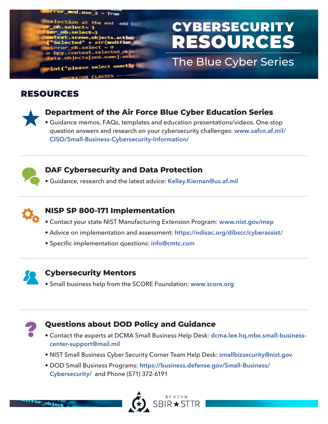#### $od.$ use\_z = True tion at the end -add e.objects.ac**tiv** + str(modifie  $b. select =$ py.context.selected\_ob ta.objects[one.name].se int("please select exactly

# CYBERSECURITY RESOURCES

## The Blue Cyber Series

## RESOURCES



## **Department of the Air Force Blue Cyber Education Series**

• Guidance memos, FAQs, templates and education presentations/videos. One-stop [question answers and research on your cybersecurity challenges:](http://www.safcn.af.mil/Organizations/CISO-Homepage/Small-Business-Cybersecurity-Information/) **[www.safcn.af.mil](http://www.safcn.af.mil/Organizations/CISO-Homepage/Small-Business-Cybersecurity-Information/)/ CISO/Small-Business-Cybersecurity-Information/**



#### **DAF Cybersecurity and Data Protection**

• Guidance, research and the latest advice: **[Kelley.Kiernan@us.af.mil](mailto:Kelley.Kiernan%40us.af.mil?subject=DAF%20Cybersecurity%20and%20Data%20Protection)**



## **NISP SP 800-171 Implementation**

- Contact your state NIST Manufacturing Extension Program: **[www.nist.gov/mep](http://www.nist.gov/mep)**
- Advice on implementation and assessment: **<https://ndisac.org/dibscc/cyberassist/>**
- Specific implementation questions: **[info@cmtc.com](mailto:info%40cmtc.com?subject=NISP%20SP%20800-171%20Implementation%20Question)**



#### **Cybersecurity Mentors**

• Small business help from the SCORE Foundation: **[www.score.org](http://www.score.org)**



 $9b1$ 

#### **Questions about DOD Policy and Guidance**

- Contact the experts at DCMA Small Business Help Desk: **[dcma.lee.hq.mbx.small-business](mailto:dcma.lee.hq.mbx.small-business-center-support%40mail.mil?subject=Questions%20about%20DOD%20Policy%20and%20Guidance)[center-support@mail.mil](mailto:dcma.lee.hq.mbx.small-business-center-support%40mail.mil?subject=Questions%20about%20DOD%20Policy%20and%20Guidance)**
- NIST Small Business Cyber Security Corner Team Help Desk: **[smallbizsecurity@nist.gov](http://smallbizsecurity@nist.gov)**
- DOD Small Business Programs: **[https://business.defense.gov/Small-Business/](https://business.defense.gov/Small-Business/Cybersecurity/) [Cybersecurity/](https://business.defense.gov/Small-Business/Cybersecurity/)** and Phone (571) 372-6191